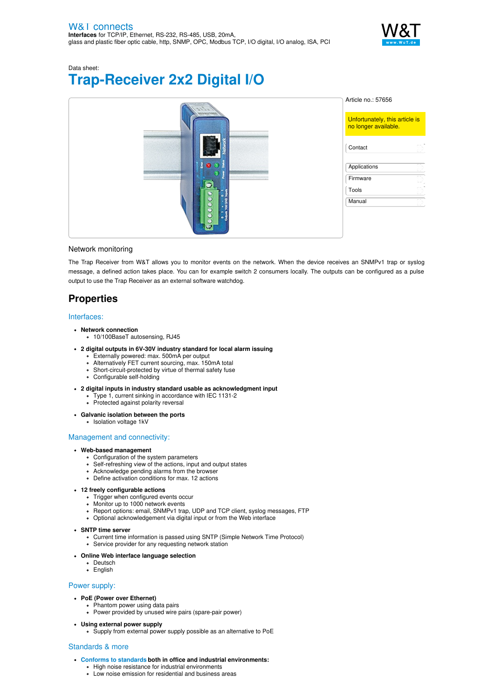

Data sheet:

# **Trap-Receiver 2x2 Digital I/O**

|                  | Article no.: 57656                                     |
|------------------|--------------------------------------------------------|
|                  | Unfortunately, this article is<br>no longer available. |
|                  | D)<br>Contact                                          |
| $\bullet$        | तर<br>Applications<br>LΥ                               |
| И                | T)<br>Firmware                                         |
|                  | D)<br>Tools                                            |
| 9                | T)<br>Manual                                           |
| $\circ \xi$<br>Ð |                                                        |
|                  |                                                        |

# Network monitoring

The Trap Receiver from W&T allows you to monitor events on the network. When the device receives an SNMPv1 trap or syslog message, a defined action takes place. You can for example switch 2 consumers locally. The outputs can be configured as a pulse output to use the Trap Receiver as an external software watchdog.

# **Properties**

# Interfaces:

- **Network connection**
	- 10/100BaseT autosensing, RJ45
- **2 digital outputs in 6V-30V industry standard for local alarm issuing**
	- Externally powered: max. 500mA per output
	- Alternatively FET current sourcing, max. 150mA total
	- Short-circuit-protected by virtue of thermal safety fuse Configurable self-holding
- **2 digital inputs in industry standard usable as acknowledgment input**
	- Type 1, current sinking in accordance with IEC 1131-2
	- Protected against polarity reversal
- **Galvanic isolation between the ports**
	- Isolation voltage 1kV

## Management and connectivity:

# **Web-based management**

- Configuration of the system parameters
- Self-refreshing view of the actions, input and output states
- Acknowledge pending alarms from the browser
- Define activation conditions for max. 12 actions

# **12 freely configurable actions**

- Trigger when configured events occur
- Monitor up to 1000 network events Report options: email, SNMPv1 trap, UDP and TCP client, syslog messages, FTP
- Optional acknowledgement via digital input or from the Web interface
- 

# **SNTP time server**

- Current time information is passed using SNTP (Simple Network Time Protocol)
- Service provider for any requesting network station

### **Online Web interface language selection**

- Deutsch
- English

# Power supply:

- **PoE (Power over Ethernet)**
	- Phantom power using data pairs
	- Power provided by unused wire pairs (spare-pair power)
- **Using external power supply**
	- Supply from external power supply possible as an alternative to PoE

## Standards & more

- **Conforms to [standards](https://www.wut.de/download/ce/e-57656-10-rdus-000.pdf) both in office and industrial environments:**
	- High noise resistance for industrial environments
	- Low noise emission for residential and business areas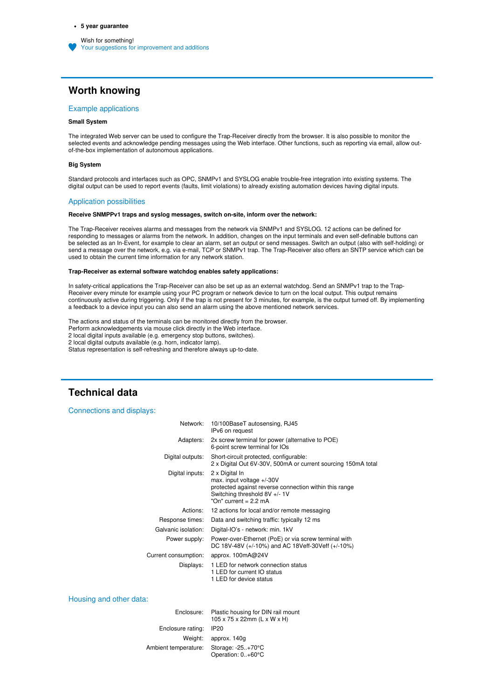# **Worth knowing**

## Example applications

# **Small System**

The integrated Web server can be used to configure the Trap-Receiver directly from the browser. It is also possible to monitor the selected events and acknowledge pending messages using the Web interface. Other functions, such as reporting via email, allow outof-the-box implementation of autonomous applications.

#### **Big System**

Standard protocols and interfaces such as OPC, SNMPv1 and SYSLOG enable trouble-free integration into existing systems. The digital output can be used to report events (faults, limit violations) to already existing automation devices having digital inputs.

#### Application possibilities

## **Receive SNMPPv1 traps and syslog messages, switch on-site, inform over the network:**

The Trap-Receiver receives alarms and messages from the network via SNMPv1 and SYSLOG. 12 actions can be defined for responding to messages or alarms from the network. In addition, changes on the input terminals and even self-definable buttons can be selected as an In-Event, for example to clear an alarm, set an output or send messages. Switch an output (also with self-holding) or send a message over the network, e.g. via e-mail, TCP or SNMPv1 trap. The Trap-Receiver also offers an SNTP service which can be used to obtain the current time information for any network station.

#### **Trap-Receiver as external software watchdog enables safety applications:**

In safety-critical applications the Trap-Receiver can also be set up as an external watchdog. Send an SNMPv1 trap to the Trap-Receiver every minute for example using your PC program or network device to turn on the local output. This output remains continuously active during triggering. Only if the trap is not present for 3 minutes, for example, is the output turned off. By implementing a feedback to a device input you can also send an alarm using the above mentioned network services.

The actions and status of the terminals can be monitored directly from the browser.

Perform acknowledgements via mouse click directly in the Web interface.

2 local digital inputs available (e.g. emergency stop buttons, switches).

2 local digital outputs available (e.g. horn, indicator lamp).

Status representation is self-refreshing and therefore always up-to-date.

# **Technical data**

### Connections and displays:

| Network:             | 10/100BaseT autosensing, RJ45<br>IPv6 on request                                                                                                                |
|----------------------|-----------------------------------------------------------------------------------------------------------------------------------------------------------------|
| Adapters:            | 2x screw terminal for power (alternative to POE)<br>6-point screw terminal for IOs                                                                              |
| Digital outputs:     | Short-circuit protected, configurable:<br>2 x Digital Out 6V-30V, 500mA or current sourcing 150mA total                                                         |
| Digital inputs:      | 2 x Digital In<br>max. input voltage +/-30V<br>protected against reverse connection within this range<br>Switching threshold 8V +/- 1V<br>"On" current = 2.2 mA |
| Actions:             | 12 actions for local and/or remote messaging                                                                                                                    |
| Response times:      | Data and switching traffic: typically 12 ms                                                                                                                     |
| Galvanic isolation:  | Digital-IO's - network: min. 1kV                                                                                                                                |
| Power supply:        | Power-over-Ethernet (PoE) or via screw terminal with<br>DC 18V-48V (+/-10%) and AC 18Veff-30Veff (+/-10%)                                                       |
| Current consumption: | approx. 100mA@24V                                                                                                                                               |
| Displays:            | 1 LED for network connection status<br>1 LED for current IO status<br>1 LED for device status                                                                   |

Housing and other data:

| Enclosure:           | Plastic housing for DIN rail mount<br>105 x 75 x 22mm (L x W x H) |
|----------------------|-------------------------------------------------------------------|
| Enclosure rating:    | <b>IP20</b>                                                       |
|                      | Weight: approx 140g                                               |
| Ambient temperature: | Storage: $-25.+70^{\circ}$ C<br>Operation: 0+60°C                 |